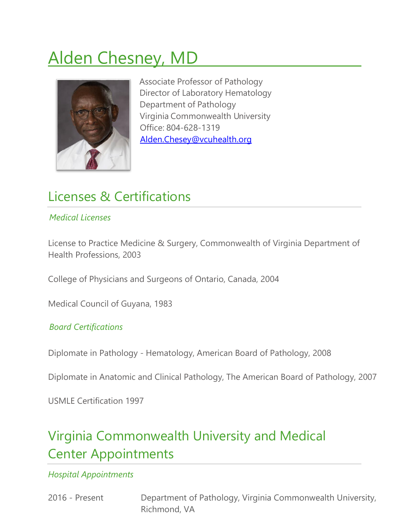# Alden Chesney, MD



Associate Professor of Pathology Director of Laboratory Hematology Department of Pathology Virginia Commonwealth University Office: 804-628-1319 [Alden.Chesey@vcuhealth.org](mailto:Alden.Chesey@vcuhealth.org)

## Licenses & Certifications

### *Medical Licenses*

License to Practice Medicine & Surgery, Commonwealth of Virginia Department of Health Professions, 2003

College of Physicians and Surgeons of Ontario, Canada, 2004

Medical Council of Guyana, 1983

#### *Board Certifications*

Diplomate in Pathology - Hematology, American Board of Pathology, 2008

Diplomate in Anatomic and Clinical Pathology, The American Board of Pathology, 2007

USMLE Certification 1997

# Virginia Commonwealth University and Medical Center Appointments

*Hospital Appointments*

2016 - Present Department of Pathology, Virginia Commonwealth University, Richmond, VA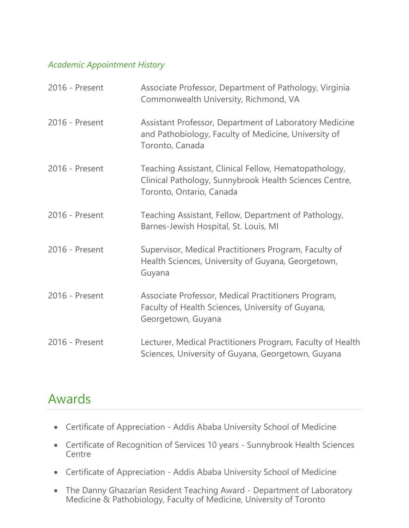#### *Academic Appointment History*

| 2016 - Present | Associate Professor, Department of Pathology, Virginia<br>Commonwealth University, Richmond, VA                                             |
|----------------|---------------------------------------------------------------------------------------------------------------------------------------------|
| 2016 - Present | Assistant Professor, Department of Laboratory Medicine<br>and Pathobiology, Faculty of Medicine, University of<br>Toronto, Canada           |
| 2016 - Present | Teaching Assistant, Clinical Fellow, Hematopathology,<br>Clinical Pathology, Sunnybrook Health Sciences Centre,<br>Toronto, Ontario, Canada |
| 2016 - Present | Teaching Assistant, Fellow, Department of Pathology,<br>Barnes-Jewish Hospital, St. Louis, MI                                               |
| 2016 - Present | Supervisor, Medical Practitioners Program, Faculty of<br>Health Sciences, University of Guyana, Georgetown,<br>Guyana                       |
| 2016 - Present | Associate Professor, Medical Practitioners Program,<br>Faculty of Health Sciences, University of Guyana,<br>Georgetown, Guyana              |
| 2016 - Present | Lecturer, Medical Practitioners Program, Faculty of Health<br>Sciences, University of Guyana, Georgetown, Guyana                            |

### Awards

- Certificate of Appreciation Addis Ababa University School of Medicine
- Certificate of Recognition of Services 10 years Sunnybrook Health Sciences **Centre**
- Certificate of Appreciation Addis Ababa University School of Medicine
- The Danny Ghazarian Resident Teaching Award Department of Laboratory Medicine & Pathobiology, Faculty of Medicine, University of Toronto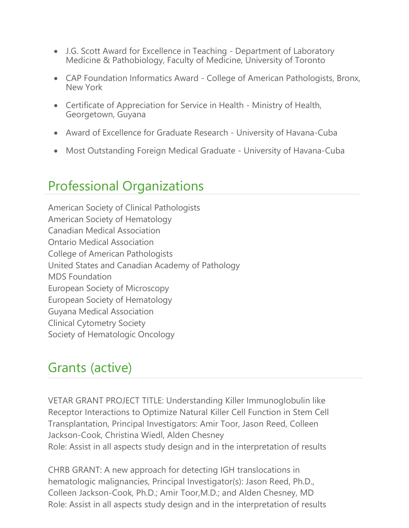- J.G. Scott Award for Excellence in Teaching Department of Laboratory Medicine & Pathobiology, Faculty of Medicine, University of Toronto
- CAP Foundation Informatics Award College of American Pathologists, Bronx, New York
- Certificate of Appreciation for Service in Health Ministry of Health, Georgetown, Guyana
- Award of Excellence for Graduate Research University of Havana-Cuba
- Most Outstanding Foreign Medical Graduate University of Havana-Cuba

### Professional Organizations

American Society of Clinical Pathologists American Society of Hematology Canadian Medical Association Ontario Medical Association College of American Pathologists United States and Canadian Academy of Pathology MDS Foundation European Society of Microscopy European Society of Hematology Guyana Medical Association Clinical Cytometry Society Society of Hematologic Oncology

### Grants (active)

VETAR GRANT PROJECT TITLE: Understanding Killer Immunoglobulin like Receptor Interactions to Optimize Natural Killer Cell Function in Stem Cell Transplantation, Principal Investigators: Amir Toor, Jason Reed, Colleen Jackson-Cook, Christina Wiedl, Alden Chesney Role: Assist in all aspects study design and in the interpretation of results

CHRB GRANT: A new approach for detecting IGH translocations in hematologic malignancies, Principal Investigator(s): Jason Reed, Ph.D., Colleen Jackson-Cook, Ph.D.; Amir Toor,M.D.; and Alden Chesney, MD Role: Assist in all aspects study design and in the interpretation of results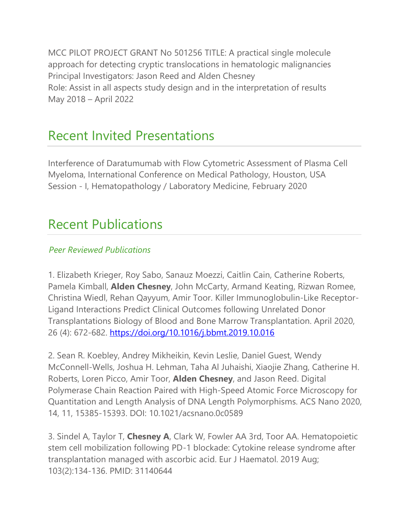MCC PILOT PROJECT GRANT No 501256 TITLE: A practical single molecule approach for detecting cryptic translocations in hematologic malignancies Principal Investigators: Jason Reed and Alden Chesney Role: Assist in all aspects study design and in the interpretation of results May 2018 – April 2022

### Recent Invited Presentations

Interference of Daratumumab with Flow Cytometric Assessment of Plasma Cell Myeloma, International Conference on Medical Pathology, Houston, USA Session - I, Hematopathology / Laboratory Medicine, February 2020

### Recent Publications

### *Peer Reviewed Publications*

1. Elizabeth Krieger, Roy Sabo, Sanauz Moezzi, Caitlin Cain, Catherine Roberts, Pamela Kimball, **Alden Chesney**, John McCarty, Armand Keating, Rizwan Romee, Christina Wiedl, Rehan Qayyum, Amir Toor. Killer Immunoglobulin-Like Receptor-Ligand Interactions Predict Clinical Outcomes following Unrelated Donor Transplantations Biology of Blood and Bone Marrow Transplantation. April 2020, 26 (4): 672-682. <https://doi.org/10.1016/j.bbmt.2019.10.016>

2. Sean R. Koebley, Andrey Mikheikin, Kevin Leslie, Daniel Guest, Wendy McConnell-Wells, Joshua H. Lehman, Taha Al Juhaishi, Xiaojie Zhang, Catherine H. Roberts, Loren Picco, Amir Toor, **Alden Chesney**, and Jason Reed. Digital Polymerase Chain Reaction Paired with High-Speed Atomic Force Microscopy for Quantitation and Length Analysis of DNA Length Polymorphisms. ACS Nano 2020, 14, 11, 15385-15393. DOI: 10.1021/acsnano.0c0589

3. Sindel A, Taylor T, **Chesney A**, Clark W, Fowler AA 3rd, Toor AA. Hematopoietic stem cell mobilization following PD-1 blockade: Cytokine release syndrome after transplantation managed with ascorbic acid. Eur J Haematol. 2019 Aug; 103(2):134-136. PMID: 31140644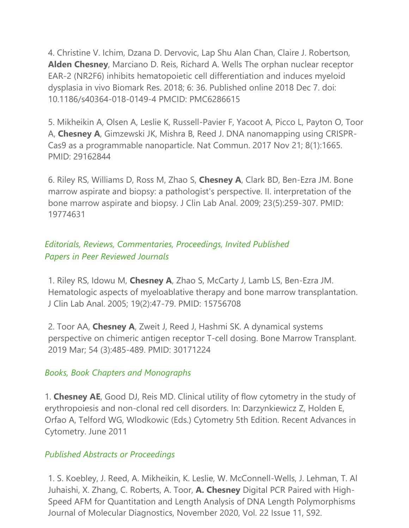4. Christine V. Ichim, Dzana D. Dervovic, Lap Shu Alan Chan, Claire J. Robertson, **Alden Chesney**, Marciano D. Reis, Richard A. Wells The orphan nuclear receptor EAR-2 (NR2F6) inhibits hematopoietic cell differentiation and induces myeloid dysplasia in vivo Biomark Res. 2018; 6: 36. Published online 2018 Dec 7. doi: 10.1186/s40364-018-0149-4 PMCID: PMC6286615

5. Mikheikin A, Olsen A, Leslie K, Russell-Pavier F, Yacoot A, Picco L, Payton O, Toor A, **Chesney A**, Gimzewski JK, Mishra B, Reed J. DNA nanomapping using CRISPR-Cas9 as a programmable nanoparticle. Nat Commun. 2017 Nov 21; 8(1):1665. PMID: 29162844

6. Riley RS, Williams D, Ross M, Zhao S, **Chesney A**, Clark BD, Ben-Ezra JM. Bone marrow aspirate and biopsy: a pathologist's perspective. II. interpretation of the bone marrow aspirate and biopsy. J Clin Lab Anal. 2009; 23(5):259-307. PMID: 19774631

### *Editorials, Reviews, Commentaries, Proceedings, Invited Published Papers in Peer Reviewed Journals*

1. Riley RS, Idowu M, **Chesney A**, Zhao S, McCarty J, Lamb LS, Ben-Ezra JM. Hematologic aspects of myeloablative therapy and bone marrow transplantation. J Clin Lab Anal. 2005; 19(2):47-79. PMID: 15756708

2. Toor AA, **Chesney A**, Zweit J, Reed J, Hashmi SK. A dynamical systems perspective on chimeric antigen receptor T-cell dosing. Bone Marrow Transplant. 2019 Mar; 54 (3):485-489. PMID: 30171224

#### *Books, Book Chapters and Monographs*

1. **Chesney AE**, Good DJ, Reis MD. Clinical utility of flow cytometry in the study of erythropoiesis and non-clonal red cell disorders. In: Darzynkiewicz Z, Holden E, Orfao A, Telford WG, Wlodkowic (Eds.) Cytometry 5th Edition. Recent Advances in Cytometry. June 2011

#### *Published Abstracts or Proceedings*

1. S. Koebley, J. Reed, A. Mikheikin, K. Leslie, W. McConnell-Wells, J. Lehman, T. Al Juhaishi, X. Zhang, C. Roberts, A. Toor, **A. Chesney** Digital PCR Paired with High-Speed AFM for Quantitation and Length Analysis of DNA Length Polymorphisms Journal of Molecular Diagnostics, November 2020, Vol. 22 Issue 11, S92.